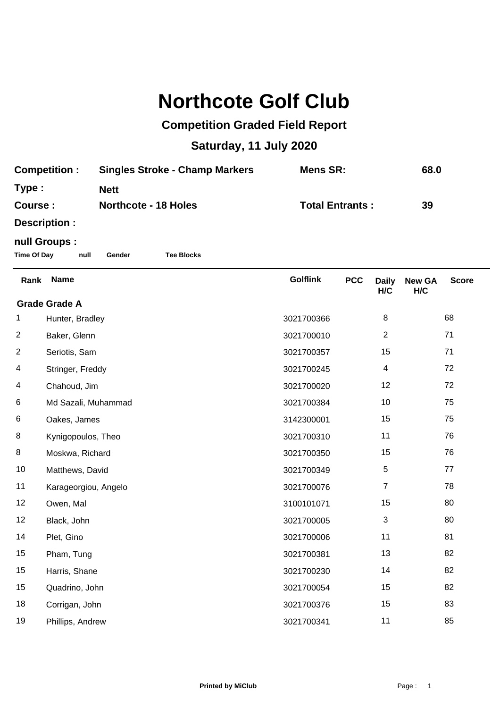## **Northcote Golf Club**

## **Competition Graded Field Report**

## **Saturday, 11 July 2020**

| <b>Competition:</b> | <b>Singles Stroke - Champ Markers</b><br>Mens SR: |                        | 68.0 |
|---------------------|---------------------------------------------------|------------------------|------|
| Type :              | <b>Nett</b>                                       |                        |      |
| Course :            | <b>Northcote - 18 Holes</b>                       | <b>Total Entrants:</b> | 39   |
|                     |                                                   |                        |      |

**Description :**

## **null Groups :**

**Time Of Day null Gender Tee Blocks**

| Rank                 | <b>Name</b>          | <b>Golflink</b> | <b>PCC</b> | <b>Daily</b><br>H/C | <b>New GA</b><br>H/C | <b>Score</b> |  |
|----------------------|----------------------|-----------------|------------|---------------------|----------------------|--------------|--|
| <b>Grade Grade A</b> |                      |                 |            |                     |                      |              |  |
| 1                    | Hunter, Bradley      | 3021700366      |            | 8                   |                      | 68           |  |
| $\overline{2}$       | Baker, Glenn         | 3021700010      |            | $\overline{2}$      |                      | 71           |  |
| $\overline{2}$       | Seriotis, Sam        | 3021700357      |            | 15                  |                      | 71           |  |
| 4                    | Stringer, Freddy     | 3021700245      |            | 4                   |                      | 72           |  |
| 4                    | Chahoud, Jim         | 3021700020      |            | 12                  |                      | 72           |  |
| 6                    | Md Sazali, Muhammad  | 3021700384      |            | 10                  |                      | 75           |  |
| 6                    | Oakes, James         | 3142300001      |            | 15                  |                      | 75           |  |
| 8                    | Kynigopoulos, Theo   | 3021700310      |            | 11                  |                      | 76           |  |
| 8                    | Moskwa, Richard      | 3021700350      |            | 15                  |                      | 76           |  |
| 10                   | Matthews, David      | 3021700349      |            | 5                   |                      | 77           |  |
| 11                   | Karageorgiou, Angelo | 3021700076      |            | $\overline{7}$      |                      | 78           |  |
| 12                   | Owen, Mal            | 3100101071      |            | 15                  |                      | 80           |  |
| 12                   | Black, John          | 3021700005      |            | 3                   |                      | 80           |  |
| 14                   | Plet, Gino           | 3021700006      |            | 11                  |                      | 81           |  |
| 15                   | Pham, Tung           | 3021700381      |            | 13                  |                      | 82           |  |
| 15                   | Harris, Shane        | 3021700230      |            | 14                  |                      | 82           |  |
| 15                   | Quadrino, John       | 3021700054      |            | 15                  |                      | 82           |  |
| 18                   | Corrigan, John       | 3021700376      |            | 15                  |                      | 83           |  |
| 19                   | Phillips, Andrew     | 3021700341      |            | 11                  |                      | 85           |  |